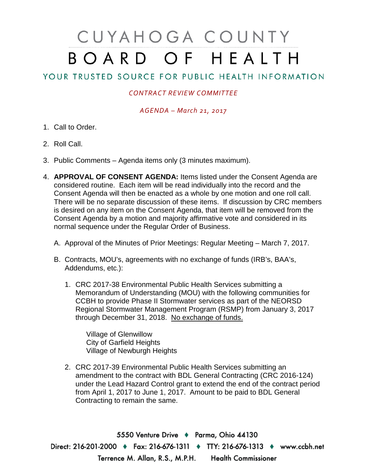# CUYAHOGA COUNTY BOARD OF HEALTH

## YOUR TRUSTED SOURCE FOR PUBLIC HEALTH INFORMATION

### *CONTRACT REVIEW COMMITTEE*

#### *AGENDA – March 21, 2017*

- 1. Call to Order.
- 2. Roll Call.
- 3. Public Comments Agenda items only (3 minutes maximum).
- 4. **APPROVAL OF CONSENT AGENDA:** Items listed under the Consent Agenda are considered routine. Each item will be read individually into the record and the Consent Agenda will then be enacted as a whole by one motion and one roll call. There will be no separate discussion of these items. If discussion by CRC members is desired on any item on the Consent Agenda, that item will be removed from the Consent Agenda by a motion and majority affirmative vote and considered in its normal sequence under the Regular Order of Business.
	- A. Approval of the Minutes of Prior Meetings: Regular Meeting March 7, 2017.
	- B. Contracts, MOU's, agreements with no exchange of funds (IRB's, BAA's, Addendums, etc.):
		- 1. CRC 2017-38 Environmental Public Health Services submitting a Memorandum of Understanding (MOU) with the following communities for CCBH to provide Phase II Stormwater services as part of the NEORSD Regional Stormwater Management Program (RSMP) from January 3, 2017 through December 31, 2018. No exchange of funds.

Village of Glenwillow City of Garfield Heights Village of Newburgh Heights

2. CRC 2017-39 Environmental Public Health Services submitting an amendment to the contract with BDL General Contracting (CRC 2016-124) under the Lead Hazard Control grant to extend the end of the contract period from April 1, 2017 to June 1, 2017. Amount to be paid to BDL General Contracting to remain the same.

5550 Venture Drive + Parma, Ohio 44130 Direct: 216-201-2000 • Fax: 216-676-1311 • TTY: 216-676-1313 • www.ccbh.net Terrence M. Allan, R.S., M.P.H. Health Commissioner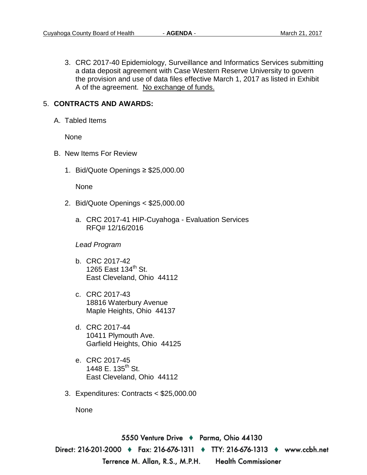3. CRC 2017-40 Epidemiology, Surveillance and Informatics Services submitting a data deposit agreement with Case Western Reserve University to govern the provision and use of data files effective March 1, 2017 as listed in Exhibit A of the agreement. No exchange of funds.

#### 5. **CONTRACTS AND AWARDS:**

A. Tabled Items

None

- B. New Items For Review
	- 1. Bid/Quote Openings ≥ \$25,000.00

None

- 2. Bid/Quote Openings < \$25,000.00
	- a. CRC 2017-41 HIP-Cuyahoga Evaluation Services RFQ# 12/16/2016

#### *Lead Program*

- b. CRC 2017-42 1265 East 134<sup>th</sup> St. East Cleveland, Ohio 44112
- c. CRC 2017-43 18816 Waterbury Avenue Maple Heights, Ohio 44137
- d. CRC 2017-44 10411 Plymouth Ave. Garfield Heights, Ohio 44125
- e. CRC 2017-45 1448 E. 135<sup>th</sup> St. East Cleveland, Ohio 44112
- 3. Expenditures: Contracts < \$25,000.00

None

5550 Venture Drive ♦ Parma, Ohio 44130 Direct: 216-201-2000 ♦ Fax: 216-676-1311 ♦ TTY: 216-676-1313 ♦ www.ccbh.net Terrence M. Allan, R.S., M.P.H. Health Commissioner